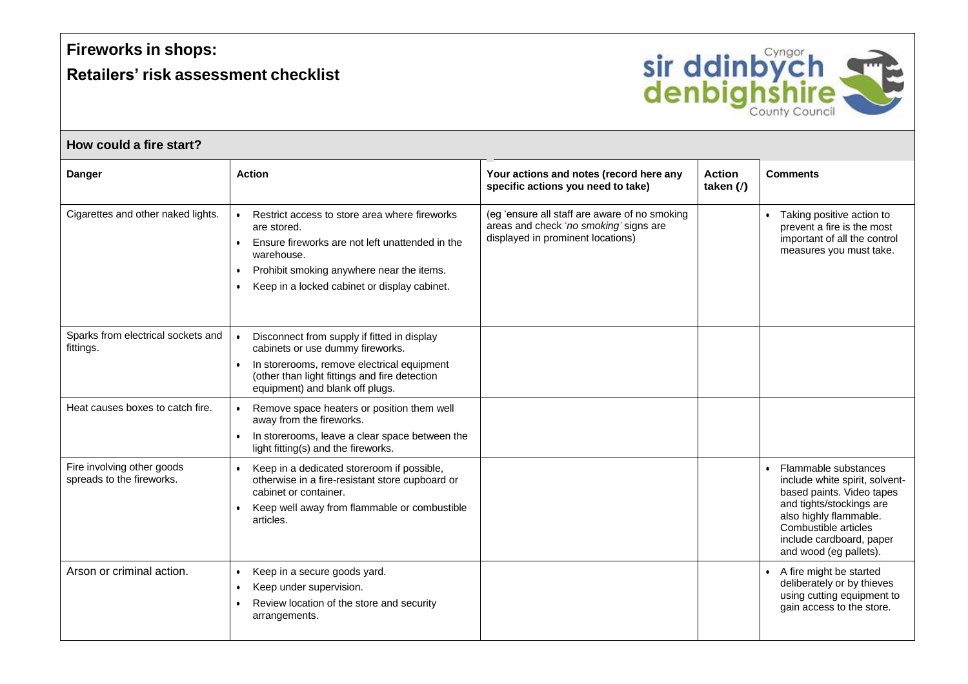## **Fireworks in shops:**

## **Retailers' risk assessment checklist**



## **How could a fire start?**

| <b>Danger</b>                                           | <b>Action</b>                                                                                                                                                                                                                                        | Your actions and notes (record here any<br>specific actions you need to take)                                                | <b>Action</b><br>taken $\mathcal{U}$ | <b>Comments</b>                                                                                                                                                                                                           |
|---------------------------------------------------------|------------------------------------------------------------------------------------------------------------------------------------------------------------------------------------------------------------------------------------------------------|------------------------------------------------------------------------------------------------------------------------------|--------------------------------------|---------------------------------------------------------------------------------------------------------------------------------------------------------------------------------------------------------------------------|
| Cigarettes and other naked lights.                      | Restrict access to store area where fireworks<br>are stored.<br>Ensure fireworks are not left unattended in the<br>warehouse.<br>Prohibit smoking anywhere near the items.<br>$\bullet$<br>Keep in a locked cabinet or display cabinet.<br>$\bullet$ | (eg 'ensure all staff are aware of no smoking<br>areas and check 'no smoking' signs are<br>displayed in prominent locations) |                                      | • Taking positive action to<br>prevent a fire is the most<br>important of all the control<br>measures you must take.                                                                                                      |
| Sparks from electrical sockets and<br>fittings.         | Disconnect from supply if fitted in display<br>cabinets or use dummy fireworks.<br>In storerooms, remove electrical equipment<br>(other than light fittings and fire detection<br>equipment) and blank off plugs.                                    |                                                                                                                              |                                      |                                                                                                                                                                                                                           |
| Heat causes boxes to catch fire.                        | Remove space heaters or position them well<br>away from the fireworks.<br>In storerooms, leave a clear space between the<br>light fitting(s) and the fireworks.                                                                                      |                                                                                                                              |                                      |                                                                                                                                                                                                                           |
| Fire involving other goods<br>spreads to the fireworks. | Keep in a dedicated storeroom if possible,<br>otherwise in a fire-resistant store cupboard or<br>cabinet or container.<br>Keep well away from flammable or combustible<br>articles.                                                                  |                                                                                                                              |                                      | • Flammable substances<br>include white spirit, solvent-<br>based paints. Video tapes<br>and tights/stockings are<br>also highly flammable.<br>Combustible articles<br>include cardboard, paper<br>and wood (eg pallets). |
| Arson or criminal action.                               | Keep in a secure goods yard.<br>$\bullet$<br>Keep under supervision.<br>$\bullet$<br>Review location of the store and security<br>arrangements.                                                                                                      |                                                                                                                              |                                      | • A fire might be started<br>deliberately or by thieves<br>using cutting equipment to<br>gain access to the store.                                                                                                        |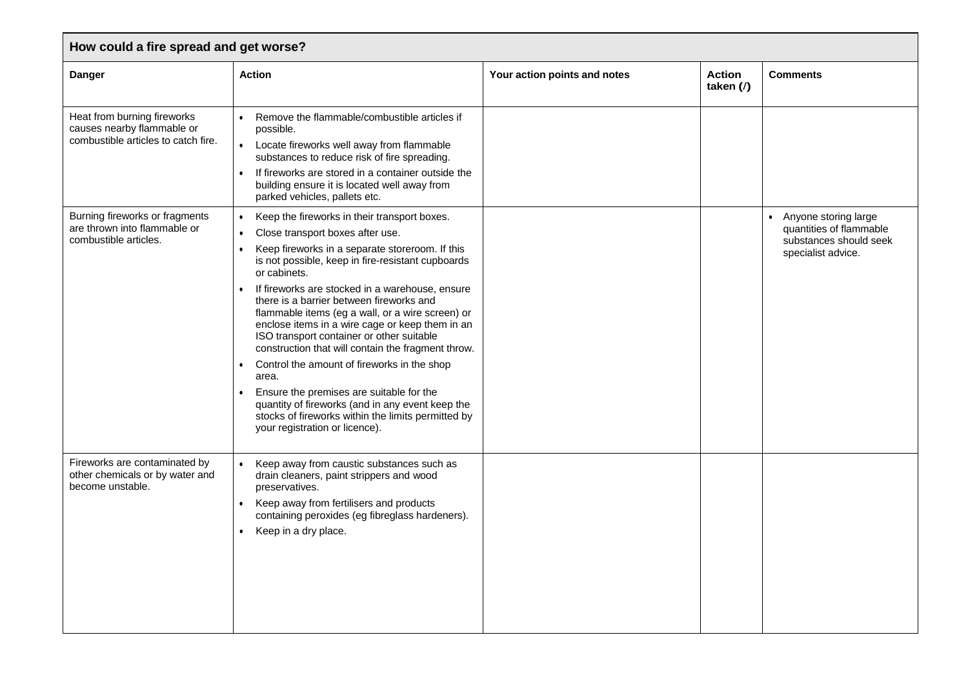| How could a fire spread and get worse?                                                           |                                                                                                                                                                                                                                                                                                                                                                                                                                                                                                                                                                                                                                                                                                                                                                                                                                    |                              |                              |                                                                                                 |  |  |  |
|--------------------------------------------------------------------------------------------------|------------------------------------------------------------------------------------------------------------------------------------------------------------------------------------------------------------------------------------------------------------------------------------------------------------------------------------------------------------------------------------------------------------------------------------------------------------------------------------------------------------------------------------------------------------------------------------------------------------------------------------------------------------------------------------------------------------------------------------------------------------------------------------------------------------------------------------|------------------------------|------------------------------|-------------------------------------------------------------------------------------------------|--|--|--|
| <b>Danger</b>                                                                                    | <b>Action</b>                                                                                                                                                                                                                                                                                                                                                                                                                                                                                                                                                                                                                                                                                                                                                                                                                      | Your action points and notes | <b>Action</b><br>taken $($ ) | <b>Comments</b>                                                                                 |  |  |  |
| Heat from burning fireworks<br>causes nearby flammable or<br>combustible articles to catch fire. | Remove the flammable/combustible articles if<br>$\bullet$<br>possible.<br>Locate fireworks well away from flammable<br>$\bullet$<br>substances to reduce risk of fire spreading.<br>If fireworks are stored in a container outside the<br>$\bullet$<br>building ensure it is located well away from<br>parked vehicles, pallets etc.                                                                                                                                                                                                                                                                                                                                                                                                                                                                                               |                              |                              |                                                                                                 |  |  |  |
| Burning fireworks or fragments<br>are thrown into flammable or<br>combustible articles.          | Keep the fireworks in their transport boxes.<br>$\bullet$<br>Close transport boxes after use.<br>$\bullet$<br>Keep fireworks in a separate storeroom. If this<br>is not possible, keep in fire-resistant cupboards<br>or cabinets.<br>If fireworks are stocked in a warehouse, ensure<br>$\bullet$<br>there is a barrier between fireworks and<br>flammable items (eg a wall, or a wire screen) or<br>enclose items in a wire cage or keep them in an<br>ISO transport container or other suitable<br>construction that will contain the fragment throw.<br>Control the amount of fireworks in the shop<br>$\bullet$<br>area.<br>Ensure the premises are suitable for the<br>$\bullet$<br>quantity of fireworks (and in any event keep the<br>stocks of fireworks within the limits permitted by<br>your registration or licence). |                              |                              | Anyone storing large<br>quantities of flammable<br>substances should seek<br>specialist advice. |  |  |  |
| Fireworks are contaminated by<br>other chemicals or by water and<br>become unstable.             | Keep away from caustic substances such as<br>drain cleaners, paint strippers and wood<br>preservatives.<br>Keep away from fertilisers and products<br>$\bullet$<br>containing peroxides (eg fibreglass hardeners).<br>Keep in a dry place.                                                                                                                                                                                                                                                                                                                                                                                                                                                                                                                                                                                         |                              |                              |                                                                                                 |  |  |  |